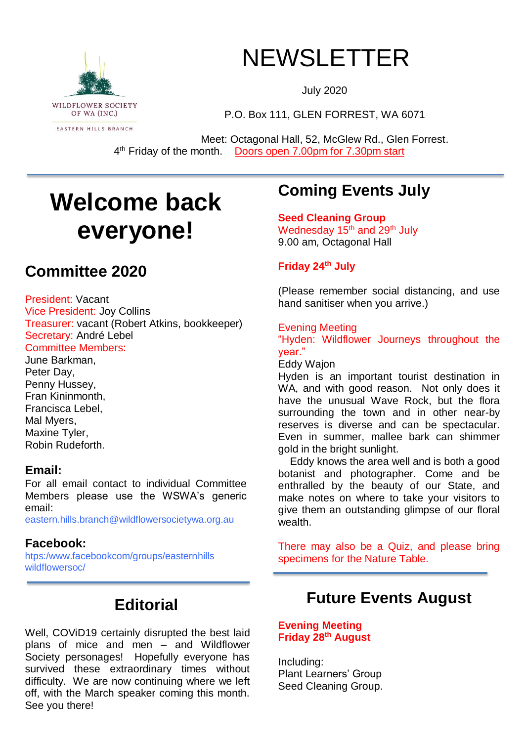

# NEWSLETTER

July 2020

P.O. Box 111, GLEN FORREST, WA 6071

Meet: Octagonal Hall, 52, McGlew Rd., Glen Forrest. 4<sup>th</sup> Friday of the month. Doors open 7.00pm for 7.30pm start

# **Welcome back everyone!**

## **Committee 2020**

President: Vacant Vice President: Joy Collins Treasurer: vacant (Robert Atkins, bookkeeper) Secretary: André Lebel Committee Members: June Barkman,

Peter Day, Penny Hussey, Fran Kininmonth, Francisca Lebel, Mal Myers, Maxine Tyler, Robin Rudeforth.

### **Email:**

For all email contact to individual Committee Members please use the WSWA's generic email:

eastern.hills.branch@wildflowersocietywa.org.au

### **Facebook:**

htps:/www.facebookcom/groups/easternhills wildflowersoc/

## **Editorial**

Well, COViD19 certainly disrupted the best laid plans of mice and men – and Wildflower Society personages! Hopefully everyone has survived these extraordinary times without difficulty. We are now continuing where we left off, with the March speaker coming this month. See you there!

# **Coming Events July**

**Seed Cleaning Group** Wednesday 15<sup>th</sup> and 29<sup>th</sup> July 9.00 am, Octagonal Hall

### **Friday 24th July**

(Please remember social distancing, and use hand sanitiser when you arrive.)

### Evening Meeting

"Hyden: Wildflower Journeys throughout the year."

Eddy Wajon

Hyden is an important tourist destination in WA, and with good reason. Not only does it have the unusual Wave Rock, but the flora surrounding the town and in other near-by reserves is diverse and can be spectacular. Even in summer, mallee bark can shimmer gold in the bright sunlight.

 Eddy knows the area well and is both a good botanist and photographer. Come and be enthralled by the beauty of our State, and make notes on where to take your visitors to give them an outstanding glimpse of our floral wealth.

There may also be a Quiz, and please bring specimens for the Nature Table.

### **Future Events August**

**Evening Meeting Friday 28th August**

Including: Plant Learners' Group Seed Cleaning Group.